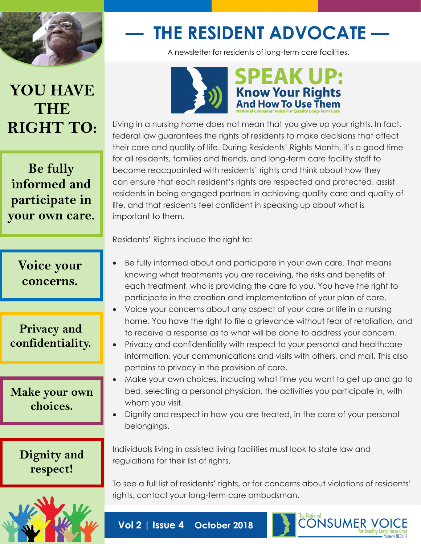

# **— THE RESIDENT ADVOCATE —**

A newsletter for residents of long-term care facilities.

# **YOU HAVE THE RIGHT TO:**

**Be fully informed and participate in your own care.**

> **Voice your concerns.**

#### **Privacy and confidentiality.**

#### **Make your own choices.**

**Dignity and respect!**





Living in a nursing home does not mean that you give up your rights. In fact, federal law guarantees the rights of residents to make decisions that affect their care and quality of life. During Residents' Rights Month, it's a good time for all residents, families and friends, and long-term care facility staff to become reacquainted with residents' rights and think about how they can ensure that each resident's rights are respected and protected, assist residents in being engaged partners in achieving quality care and quality of life, and that residents feel confident in speaking up about what is important to them.

Residents' Rights include the right to:

- Be fully informed about and participate in your own care. That means knowing what treatments you are receiving, the risks and benefits of each treatment, who is providing the care to you. You have the right to participate in the creation and implementation of your plan of care.
- Voice your concerns about any aspect of your care or life in a nursing home. You have the right to file a grievance without fear of retaliation, and to receive a response as to what will be done to address your concern.
- Privacy and confidentiality with respect to your personal and healthcare information, your communications and visits with others, and mail. This also pertains to privacy in the provision of care.
- Make your own choices, including what time you want to get up and go to bed, selecting a personal physician, the activities you participate in, with whom you visit.
- Dignity and respect in how you are treated, in the care of your personal belongings.

Individuals living in assisted living facilities must look to state law and regulations for their list of rights.

To see a full list of residents' rights, or for concerns about violations of residents' rights, contact your long-term care ombudsman.